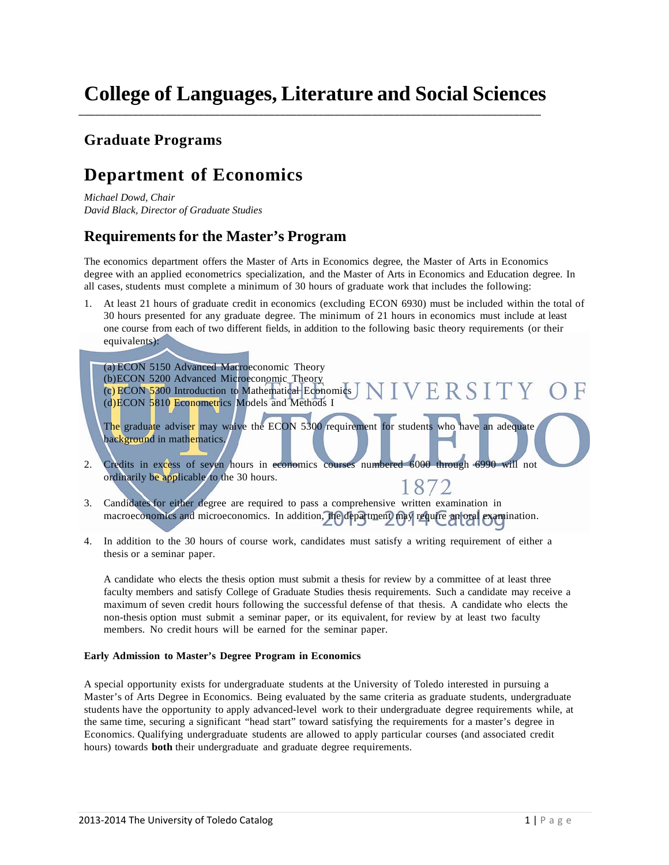\_\_\_\_\_\_\_\_\_\_\_\_\_\_\_\_\_\_\_\_\_\_\_\_\_\_\_\_\_\_\_\_\_\_\_\_\_\_\_\_\_\_\_\_\_\_\_\_\_\_\_\_\_\_\_\_\_\_\_\_\_\_\_\_\_\_\_\_\_\_\_\_\_\_\_\_\_\_\_\_\_\_\_\_\_

### **Graduate Programs**

## **Department of Economics**

*Michael Dowd, Chair David Black, Director of Graduate Studies*

### **Requirements for the Master's Program**

The economics department offers the Master of Arts in Economics degree, the Master of Arts in Economics degree with an applied econometrics specialization, and the Master of Arts in Economics and Education degree. In all cases, students must complete a minimum of 30 hours of graduate work that includes the following:

1. At least 21 hours of graduate credit in economics (excluding ECON 6930) must be included within the total of 30 hours presented for any graduate degree. The minimum of 21 hours in economics must include at least one course from each of two different fields, in addition to the following basic theory requirements (or their equivalents):

(a) ECON 5150 Advanced Macroeconomic Theory (b)ECON 5200 Advanced Microeconomic Theory  $\overline{C}$  (c) ECON 5300 Introduction to Mathematical Economics  $\overline{J}$  N  $\overline{I}$  V  $\overline{F}$  R S  $\overline{I}$  T Y (d)ECON 5810 Econometrics Models and Methods I The graduate adviser may waive the ECON 5300 requirement for students who have an adequate background in mathematics. 2. Credits in excess of seven hours in economics courses numbered 6000 through 6990 will not ordinarily be applicable to the 30 hours. 1872

- 3. Candidates for either degree are required to pass a comprehensive written examination in macroeconomics and microeconomics. In addition, the department may require an oral examination.
- 4. In addition to the 30 hours of course work, candidates must satisfy a writing requirement of either a thesis or a seminar paper.

A candidate who elects the thesis option must submit a thesis for review by a committee of at least three faculty members and satisfy College of Graduate Studies thesis requirements. Such a candidate may receive a maximum of seven credit hours following the successful defense of that thesis. A candidate who elects the non-thesis option must submit a seminar paper, or its equivalent, for review by at least two faculty members. No credit hours will be earned for the seminar paper.

### **Early Admission to Master's Degree Program in Economics**

A special opportunity exists for undergraduate students at the University of Toledo interested in pursuing a Master's of Arts Degree in Economics. Being evaluated by the same criteria as graduate students, undergraduate students have the opportunity to apply advanced-level work to their undergraduate degree requirements while, at the same time, securing a significant "head start" toward satisfying the requirements for a master's degree in Economics. Qualifying undergraduate students are allowed to apply particular courses (and associated credit hours) towards **both** their undergraduate and graduate degree requirements.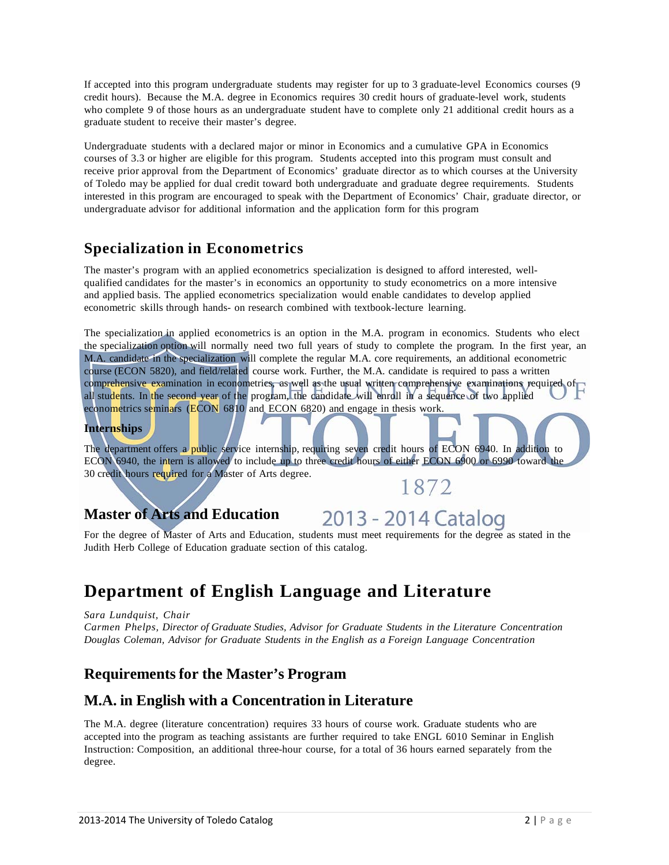If accepted into this program undergraduate students may register for up to 3 graduate-level Economics courses (9 credit hours). Because the M.A. degree in Economics requires 30 credit hours of graduate-level work, students who complete 9 of those hours as an undergraduate student have to complete only 21 additional credit hours as a graduate student to receive their master's degree.

Undergraduate students with a declared major or minor in Economics and a cumulative GPA in Economics courses of 3.3 or higher are eligible for this program. Students accepted into this program must consult and receive prior approval from the Department of Economics' graduate director as to which courses at the University of Toledo may be applied for dual credit toward both undergraduate and graduate degree requirements. Students interested in this program are encouraged to speak with the Department of Economics' Chair, graduate director, or undergraduate advisor for additional information and the application form for this program

## **Specialization in Econometrics**

The master's program with an applied econometrics specialization is designed to afford interested, wellqualified candidates for the master's in economics an opportunity to study econometrics on a more intensive and applied basis. The applied econometrics specialization would enable candidates to develop applied econometric skills through hands- on research combined with textbook-lecture learning.

The specialization in applied econometrics is an option in the M.A. program in economics. Students who elect the specialization option will normally need two full years of study to complete the program. In the first year, an M.A. candidate in the specialization will complete the regular M.A. core requirements, an additional econometric course (ECON 5820), and field/related course work. Further, the M.A. candidate is required to pass a written comprehensive examination in econometrics, as well as the usual written comprehensive examinations required of all students. In the second year of the program, the candidate will enroll in a sequence of two applied econometrics seminars (ECON 6810 and ECON 6820) and engage in thesis work.

### **Internships**

The department offers a public service internship, requiring seven credit hours of ECON 6940. In addition to ECON 6940, the intern is allowed to include up to three credit hours of either ECON 6900 or 6990 toward the 30 credit hours required for a Master of Arts degree. 1872

### **Master of Arts and Education**

## 2013 - 2014 Catalog

For the degree of Master of Arts and Education, students must meet requirements for the degree as stated in the Judith Herb College of Education graduate section of this catalog.

## **Department of English Language and Literature**

*Sara Lundquist, Chair*

*Carmen Phelps, Director of Graduate Studies, Advisor for Graduate Students in the Literature Concentration Douglas Coleman, Advisor for Graduate Students in the English as a Foreign Language Concentration*

### **Requirements for the Master's Program**

### **M.A. in English with a Concentration in Literature**

The M.A. degree (literature concentration) requires 33 hours of course work. Graduate students who are accepted into the program as teaching assistants are further required to take ENGL 6010 Seminar in English Instruction: Composition, an additional three-hour course, for a total of 36 hours earned separately from the degree.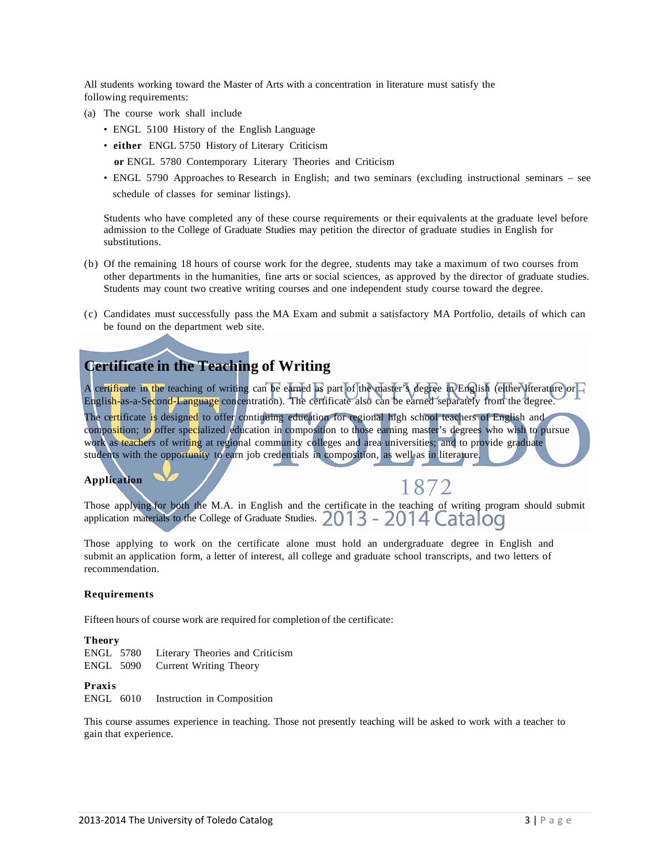All students working toward the Master of Arts with a concentration in literature must satisfy the following requirements:

- (a) The course work shall include
	- ENGL 5100 History of the English Language
	- **either** ENGL 5750 History of Literary Criticism
		- **or** ENGL 5780 Contemporary Literary Theories and Criticism
	- ENGL 5790 Approaches to Research in English; and two seminars (excluding instructional seminars see schedule of classes for seminar listings).

Students who have completed any of these course requirements or their equivalents at the graduate level before admission to the College of Graduate Studies may petition the director of graduate studies in English for substitutions.

- (b) Of the remaining 18 hours of course work for the degree, students may take a maximum of two courses from other departments in the humanities, fine arts or social sciences, as approved by the director of graduate studies. Students may count two creative writing courses and one independent study course toward the degree.
- (c) Candidates must successfully pass the MA Exam and submit a satisfactory MA Portfolio, details of which can be found on the department web site.

### **Certificate in the Teaching of Writing**

A certificate in the teaching of writing can be earned as part of the master's degree in English (either literature or English-as-a-Second-Language concentration). The certificate also can be earned separately from the degree.

The certificate is designed to offer continuing education for regional high school teachers of English and composition; to offer specialized education in composition to those earning master's degrees who wish to pursue work as teachers of writing at regional community colleges and area universities; and to provide graduate students with the opportunity to earn job credentials in composition, as well as in literature.

### **Application**

1872

Those applying for both the M.A. in English and the certificate in the teaching of writing program should submit application materials to the College of Graduate Studies. 2013 - 2014 Catalog

Those applying to work on the certificate alone must hold an undergraduate degree in English and submit an application form, a letter of interest, all college and graduate school transcripts, and two letters of recommendation.

#### **Requirements**

Fifteen hours of course work are required for completion of the certificate:

#### **Theory**

|  | ENGL 5780 Literary Theories and Criticism |
|--|-------------------------------------------|
|  | ENGL 5090 Current Writing Theory          |

### **Praxis**

ENGL 6010 Instruction in Composition

This course assumes experience in teaching. Those not presently teaching will be asked to work with a teacher to gain that experience.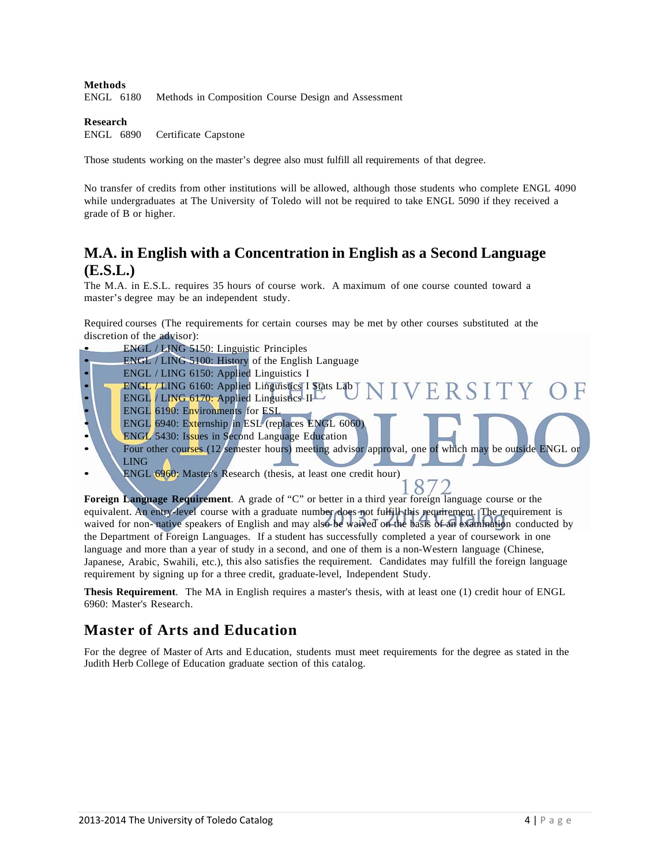### **Methods**

ENGL 6180 Methods in Composition Course Design and Assessment

#### **Research**

ENGL 6890 Certificate Capstone

Those students working on the master's degree also must fulfill all requirements of that degree.

No transfer of credits from other institutions will be allowed, although those students who complete ENGL 4090 while undergraduates at The University of Toledo will not be required to take ENGL 5090 if they received a grade of B or higher.

### **M.A. in English with a Concentration in English as a Second Language (E.S.L.)**

The M.A. in E.S.L. requires 35 hours of course work. A maximum of one course counted toward a master's degree may be an independent study.

Required courses (The requirements for certain courses may be met by other courses substituted at the discretion of the advisor):

- ENGL / LING 5150: Linguistic Principles
- ENGL / LING 5100: History of the English Language
- ENGL / LING 6150: Applied Linguistics I
- ENGL / LING 6160: Applied Linguistics I Stats Lab VERSITY • ENGL / LING 6170: Applied Linguistics II
- ENGL 6190: Environments for ESL
- ENGL 6940: Externship in ESL (replaces ENGL 6060)
- **ENGL** 5430: Issues in Second Language Education
- Four other courses (12 semester hours) meeting advisor approval, one of which may be outside ENGL LING
- ENGL 6960: Master's Research (thesis, at least one credit hour)

**Foreign Language Requirement**. A grade of "C" or better in a third year foreign language course or the equivalent. An entry-level course with a graduate number does not fulfill this requirement. The requirement is waived for non- native speakers of English and may also be waived on the basis of an examination conducted by the Department of Foreign Languages. If a student has successfully completed a year of coursework in one language and more than a year of study in a second, and one of them is a non-Western language (Chinese, Japanese, Arabic, Swahili, etc.), this also satisfies the requirement. Candidates may fulfill the foreign language requirement by signing up for a three credit, graduate-level, Independent Study.

**Thesis Requirement**. The MA in English requires a master's thesis, with at least one (1) credit hour of ENGL 6960: Master's Research.

### **Master of Arts and Education**

For the degree of Master of Arts and Education, students must meet requirements for the degree as stated in the Judith Herb College of Education graduate section of this catalog.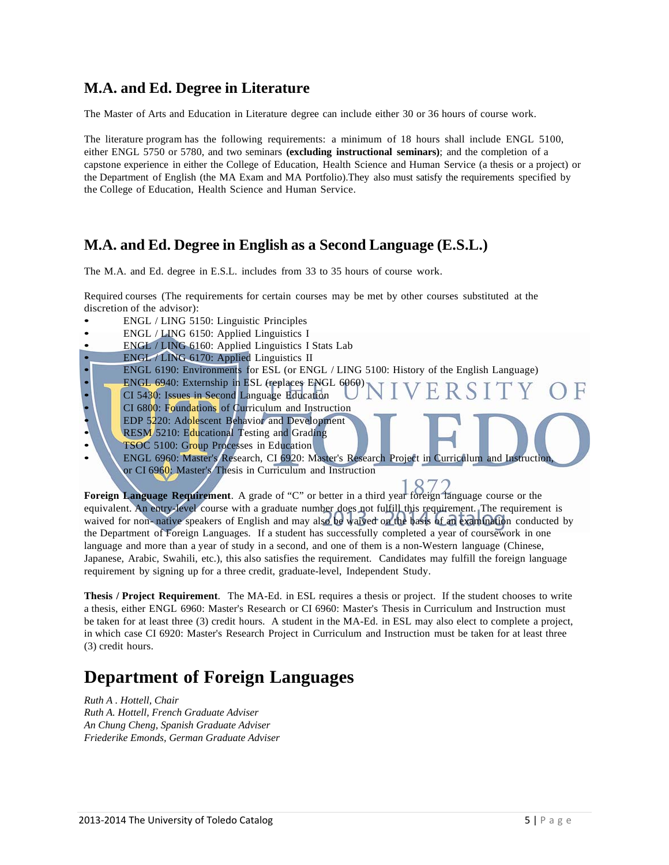### **M.A. and Ed. Degree in Literature**

The Master of Arts and Education in Literature degree can include either 30 or 36 hours of course work.

The literature program has the following requirements: a minimum of 18 hours shall include ENGL 5100, either ENGL 5750 or 5780, and two seminars **(excluding instructional seminars)**; and the completion of a capstone experience in either the College of Education, Health Science and Human Service (a thesis or a project) or the Department of English (the MA Exam and MA Portfolio).They also must satisfy the requirements specified by the College of Education, Health Science and Human Service.

### **M.A. and Ed. Degree in English as a Second Language (E.S.L.)**

The M.A. and Ed. degree in E.S.L. includes from 33 to 35 hours of course work.

Required courses (The requirements for certain courses may be met by other courses substituted at the discretion of the advisor):

- ENGL / LING 5150: Linguistic Principles
- ENGL / LING 6150: Applied Linguistics I
- ENGL / LING 6160: Applied Linguistics I Stats Lab
- ENGL / LING 6170: Applied Linguistics II
- ENGL 6190: Environments for ESL (or ENGL / LING 5100: History of the English Language)
- ENGL 6940: Externship in ESL (replaces ENGL 6060)
- CI 5430: Issues in Second Language Education
- CI 6800: Foundations of Curriculum and Instruction
- EDP 5220: Adolescent Behavior and Development
- RESM 5210: Educational Testing and Grading
- TSOC 5100: Group Processes in Education
- ENGL 6960: Master's Research, CI 6920: Master's Research Project in Curriculum and Instruction, or CI 6960: Master's Thesis in Curriculum and Instruction

**Foreign Language Requirement**. A grade of "C" or better in a third year foreign language course or the equivalent. An entry-level course with a graduate number does not fulfill this requirement. The requirement is waived for non- native speakers of English and may also be waived on the basis of an examination conducted by the Department of Foreign Languages. If a student has successfully completed a year of coursework in one language and more than a year of study in a second, and one of them is a non-Western language (Chinese, Japanese, Arabic, Swahili, etc.), this also satisfies the requirement. Candidates may fulfill the foreign language requirement by signing up for a three credit, graduate-level, Independent Study.

**Thesis / Project Requirement**. The MA-Ed. in ESL requires a thesis or project. If the student chooses to write a thesis, either ENGL 6960: Master's Research or CI 6960: Master's Thesis in Curriculum and Instruction must be taken for at least three (3) credit hours. A student in the MA-Ed. in ESL may also elect to complete a project, in which case CI 6920: Master's Research Project in Curriculum and Instruction must be taken for at least three (3) credit hours.

## **Department of Foreign Languages**

*Ruth A . Hottell, Chair Ruth A. Hottell, French Graduate Adviser An Chung Cheng, Spanish Graduate Adviser Friederike Emonds, German Graduate Adviser*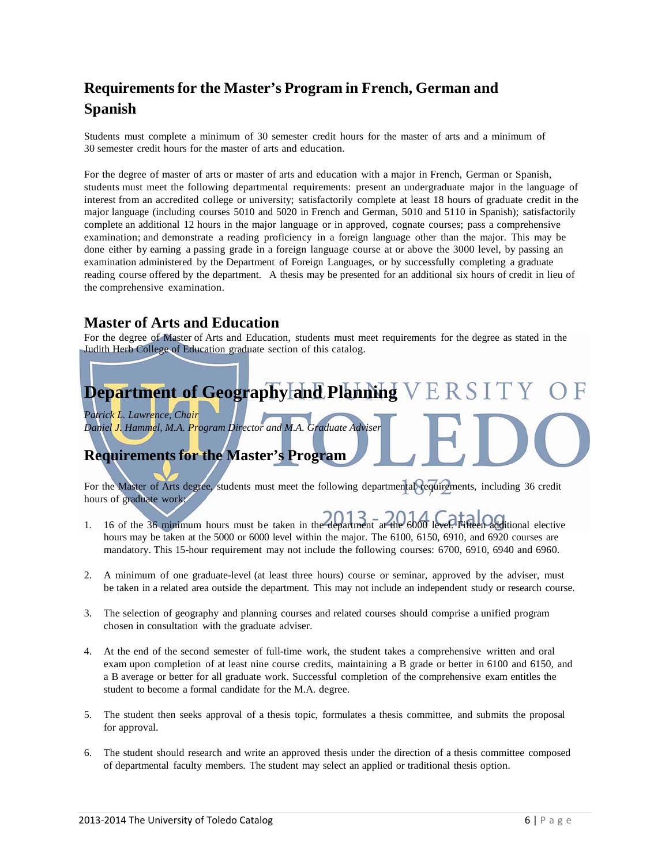## **Requirements for the Master's Program in French, German and Spanish**

Students must complete a minimum of 30 semester credit hours for the master of arts and a minimum of 30 semester credit hours for the master of arts and education.

For the degree of master of arts or master of arts and education with a major in French, German or Spanish, students must meet the following departmental requirements: present an undergraduate major in the language of interest from an accredited college or university; satisfactorily complete at least 18 hours of graduate credit in the major language (including courses 5010 and 5020 in French and German, 5010 and 5110 in Spanish); satisfactorily complete an additional 12 hours in the major language or in approved, cognate courses; pass a comprehensive examination; and demonstrate a reading proficiency in a foreign language other than the major. This may be done either by earning a passing grade in a foreign language course at or above the 3000 level, by passing an examination administered by the Department of Foreign Languages, or by successfully completing a graduate reading course offered by the department. A thesis may be presented for an additional six hours of credit in lieu of the comprehensive examination.

### **Master of Arts and Education**

For the degree of Master of Arts and Education, students must meet requirements for the degree as stated in the Judith Herb College of Education graduate section of this catalog.

# Department of Geographyland Planning V E R S I

*Patrick L. Lawrence, Chair Daniel J. Hammel, M.A. Program Director and M.A. Graduate Adviser*

## **Requirements for the Master's Program**

For the Master of Arts degree, students must meet the following departmental requirements, including 36 credit hours of graduate work:

- 1. 16 of the 36 minimum hours must be taken in the department at the 6000 level. Fifteen additional elective hours may be taken at the 5000 or 6000 level within the major. The 6100, 6150, 6910, and 6920 courses are mandatory. This 15-hour requirement may not include the following courses: 6700, 6910, 6940 and 6960.
- 2. A minimum of one graduate-level (at least three hours) course or seminar, approved by the adviser, must be taken in a related area outside the department. This may not include an independent study or research course.
- 3. The selection of geography and planning courses and related courses should comprise a unified program chosen in consultation with the graduate adviser.
- 4. At the end of the second semester of full-time work, the student takes a comprehensive written and oral exam upon completion of at least nine course credits, maintaining a B grade or better in 6100 and 6150, and a B average or better for all graduate work. Successful completion of the comprehensive exam entitles the student to become a formal candidate for the M.A. degree.
- 5. The student then seeks approval of a thesis topic, formulates a thesis committee, and submits the proposal for approval.
- 6. The student should research and write an approved thesis under the direction of a thesis committee composed of departmental faculty members. The student may select an applied or traditional thesis option.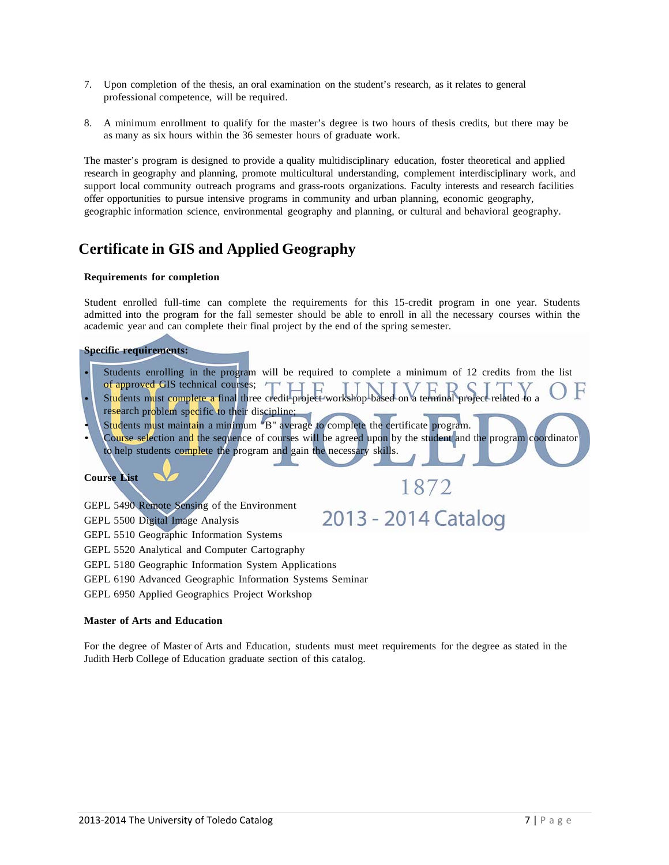- 7. Upon completion of the thesis, an oral examination on the student's research, as it relates to general professional competence, will be required.
- 8. A minimum enrollment to qualify for the master's degree is two hours of thesis credits, but there may be as many as six hours within the 36 semester hours of graduate work.

The master's program is designed to provide a quality multidisciplinary education, foster theoretical and applied research in geography and planning, promote multicultural understanding, complement interdisciplinary work, and support local community outreach programs and grass-roots organizations. Faculty interests and research facilities offer opportunities to pursue intensive programs in community and urban planning, economic geography, geographic information science, environmental geography and planning, or cultural and behavioral geography.

### **Certificate in GIS and Applied Geography**

### **Requirements for completion**

Student enrolled full-time can complete the requirements for this 15-credit program in one year. Students admitted into the program for the fall semester should be able to enroll in all the necessary courses within the academic year and can complete their final project by the end of the spring semester.

### **Specific requirements:**

- Students enrolling in the program will be required to complete a minimum of 12 credits from the list of approved GIS technical courses; of approved GIS technical courses;<br>Students must complete a final three credit project workshop based on a terminal project related to a
- research problem specific to their discipline;
- Students must maintain a minimum "B" average to complete the certificate program.
- Course selection and the sequence of courses will be agreed upon by the student and the program coordinator to help students complete the program and gain the necessary skills.

1872

2013 - 2014 Catalog

### **Course List**

- GEPL 5490 Remote Sensing of the Environment
- GEPL 5500 Digital Image Analysis
- GEPL 5510 Geographic Information Systems
- GEPL 5520 Analytical and Computer Cartography
- GEPL 5180 Geographic Information System Applications
- GEPL 6190 Advanced Geographic Information Systems Seminar
- GEPL 6950 Applied Geographics Project Workshop

#### **Master of Arts and Education**

For the degree of Master of Arts and Education, students must meet requirements for the degree as stated in the Judith Herb College of Education graduate section of this catalog.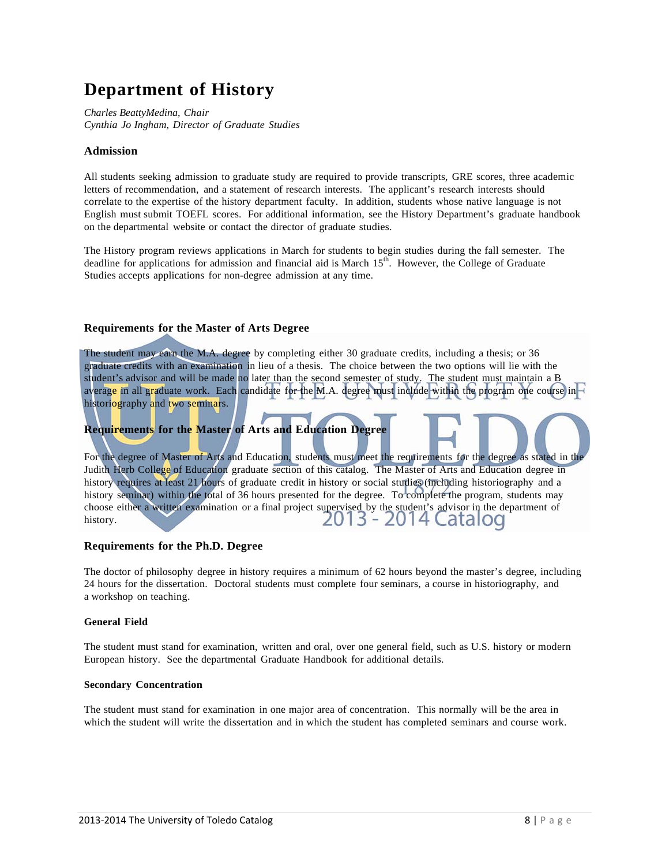## **Department of History**

*Charles BeattyMedina, Chair Cynthia Jo Ingham, Director of Graduate Studies*

### **Admission**

All students seeking admission to graduate study are required to provide transcripts, GRE scores, three academic letters of recommendation, and a statement of research interests. The applicant's research interests should correlate to the expertise of the history department faculty. In addition, students whose native language is not English must submit TOEFL scores. For additional information, see the History Department's graduate handbook on the departmental website or contact the director of graduate studies.

The History program reviews applications in March for students to begin studies during the fall semester. The deadline for applications for admission and financial aid is March  $15<sup>th</sup>$ . However, the College of Graduate Studies accepts applications for non-degree admission at any time.

### **Requirements for the Master of Arts Degree**

The student may earn the M.A. degree by completing either 30 graduate credits, including a thesis; or 36 graduate credits with an examination in lieu of a thesis. The choice between the two options will lie with the student's advisor and will be made no later than the second semester of study. The student must maintain a B average in all graduate work. Each candidate for the M.A. degree must include within the program one course in historiography and two seminars.

### **Requirements for the Master of Arts and Education Degree**

For the degree of Master of Arts and Education, students must meet the requirements for the degree as stated in the Judith Herb College of Education graduate section of this catalog. The Master of Arts and Education degree in history requires at least 21 hours of graduate credit in history or social studies (including historiography and a history seminar) within the total of 36 hours presented for the degree. To complete the program, students may choose either a written examination or a final project supervised by the student's advisor in the department of history.<br> $2013 - 2014$  Catalog history.

### **Requirements for the Ph.D. Degree**

The doctor of philosophy degree in history requires a minimum of 62 hours beyond the master's degree, including 24 hours for the dissertation. Doctoral students must complete four seminars, a course in historiography, and a workshop on teaching.

#### **General Field**

The student must stand for examination, written and oral, over one general field, such as U.S. history or modern European history. See the departmental Graduate Handbook for additional details.

### **Secondary Concentration**

The student must stand for examination in one major area of concentration. This normally will be the area in which the student will write the dissertation and in which the student has completed seminars and course work.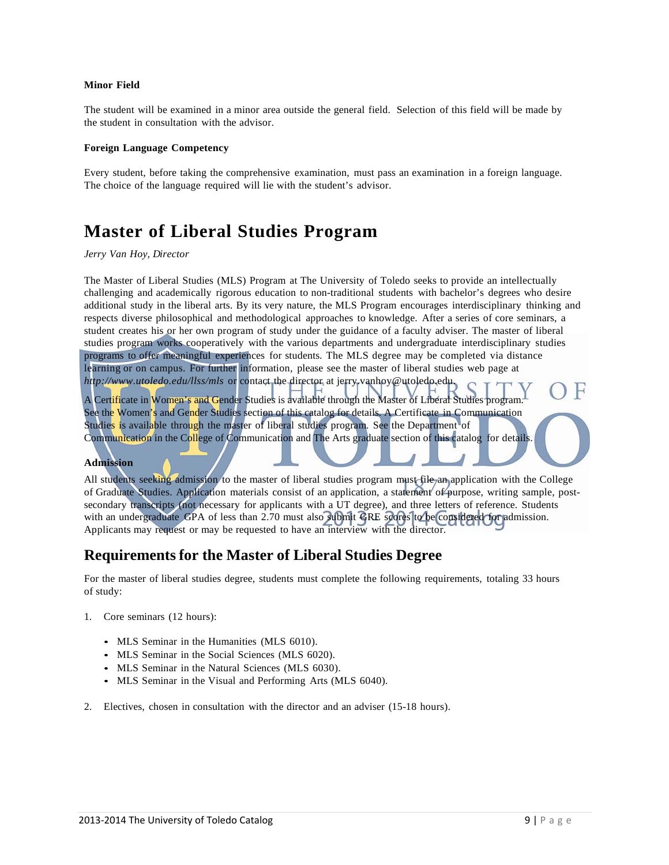#### **Minor Field**

The student will be examined in a minor area outside the general field. Selection of this field will be made by the student in consultation with the advisor.

#### **Foreign Language Competency**

Every student, before taking the comprehensive examination, must pass an examination in a foreign language. The choice of the language required will lie with the student's advisor.

## **Master of Liberal Studies Program**

#### *Jerry Van Hoy, Director*

The Master of Liberal Studies (MLS) Program at The University of Toledo seeks to provide an intellectually challenging and academically rigorous education to non-traditional students with bachelor's degrees who desire additional study in the liberal arts. By its very nature, the MLS Program encourages interdisciplinary thinking and respects diverse philosophical and methodological approaches to knowledge. After a series of core seminars, a student creates his or her own program of study under the guidance of a faculty adviser. The master of liberal studies program works cooperatively with the various departments and undergraduate interdisciplinary studies programs to offer meaningful experiences for students. The MLS degree may be completed via distance learning or on campus. For further information, please see the master of liberal studies web page at *http://www.utoledo.edu/llss/mls* or contact the director at jerry.vanhoy@utoledo.edu.

A Certificate in Women's and Gender Studies is available through the Master of Liberal Studies program. See the Women's and Gender Studies section of this catalog for details. A Certificate in Communication Studies is available through the master of liberal studies program. See the Department of Communication in the College of Communication and The Arts graduate section of this catalog for details

### **Admission**

All students seeking admission to the master of liberal studies program must file an application with the College of Graduate Studies. Application materials consist of an application, a statement of purpose, writing sample, postsecondary transcripts (not necessary for applicants with a UT degree), and three letters of reference. Students with an undergraduate GPA of less than 2.70 must also submit GRE scores to be considered for admission. Applicants may request or may be requested to have an interview with the director.

### **Requirements for the Master of Liberal Studies Degree**

For the master of liberal studies degree, students must complete the following requirements, totaling 33 hours of study:

- 1. Core seminars (12 hours):
	- MLS Seminar in the Humanities (MLS 6010).
	- MLS Seminar in the Social Sciences (MLS 6020).
	- MLS Seminar in the Natural Sciences (MLS 6030).
	- MLS Seminar in the Visual and Performing Arts (MLS 6040).
- 2. Electives, chosen in consultation with the director and an adviser (15-18 hours).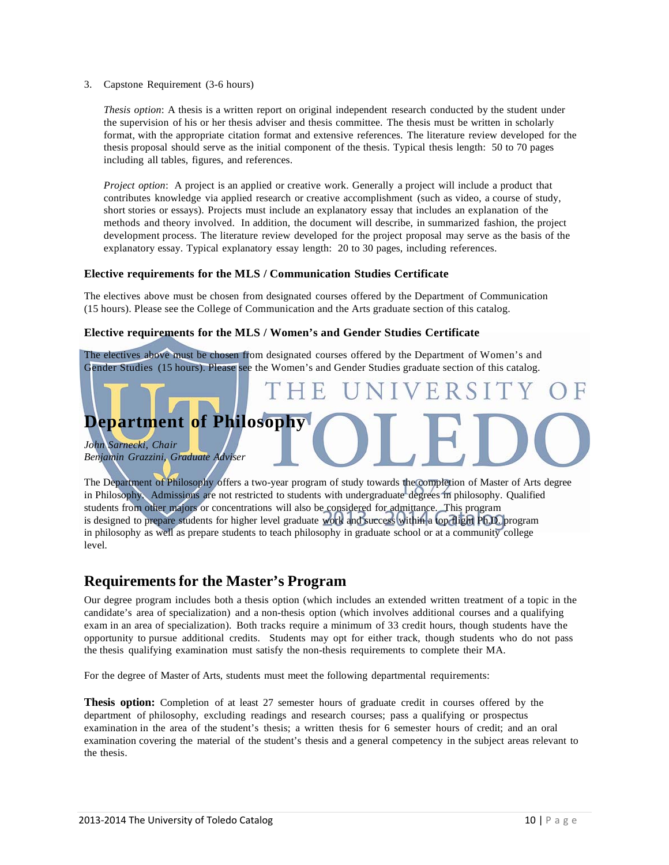3. Capstone Requirement (3-6 hours)

*Thesis option*: A thesis is a written report on original independent research conducted by the student under the supervision of his or her thesis adviser and thesis committee. The thesis must be written in scholarly format, with the appropriate citation format and extensive references. The literature review developed for the thesis proposal should serve as the initial component of the thesis. Typical thesis length: 50 to 70 pages including all tables, figures, and references.

*Project option*: A project is an applied or creative work. Generally a project will include a product that contributes knowledge via applied research or creative accomplishment (such as video, a course of study, short stories or essays). Projects must include an explanatory essay that includes an explanation of the methods and theory involved. In addition, the document will describe, in summarized fashion, the project development process. The literature review developed for the project proposal may serve as the basis of the explanatory essay. Typical explanatory essay length: 20 to 30 pages, including references.

### **Elective requirements for the MLS / Communication Studies Certificate**

The electives above must be chosen from designated courses offered by the Department of Communication (15 hours). Please see the College of Communication and the Arts graduate section of this catalog.

### **Elective requirements for the MLS / Women's and Gender Studies Certificate**

The electives above must be chosen from designated courses offered by the Department of Women's and Gender Studies (15 hours). Please see the Women's and Gender Studies graduate section of this catalog.

## **Department of Philosophy**

*John Sarnecki, Chair Benjamin Grazzini, Graduate Adviser*

The Department of Philosophy offers a two-year program of study towards the completion of Master of Arts degree in Philosophy. Admissions are not restricted to students with undergraduate degrees in philosophy. Qualified students from other majors or concentrations will also be considered for admittance. This program is designed to prepare students for higher level graduate work and success within a top flight Ph.D. program in philosophy as well as prepare students to teach philosophy in graduate school or at a community college level.

### **Requirements for the Master's Program**

Our degree program includes both a thesis option (which includes an extended written treatment of a topic in the candidate's area of specialization) and a non-thesis option (which involves additional courses and a qualifying exam in an area of specialization). Both tracks require a minimum of 33 credit hours, though students have the opportunity to pursue additional credits. Students may opt for either track, though students who do not pass the thesis qualifying examination must satisfy the non-thesis requirements to complete their MA.

For the degree of Master of Arts, students must meet the following departmental requirements:

**Thesis option:** Completion of at least 27 semester hours of graduate credit in courses offered by the department of philosophy, excluding readings and research courses; pass a qualifying or prospectus examination in the area of the student's thesis; a written thesis for 6 semester hours of credit; and an oral examination covering the material of the student's thesis and a general competency in the subject areas relevant to the thesis.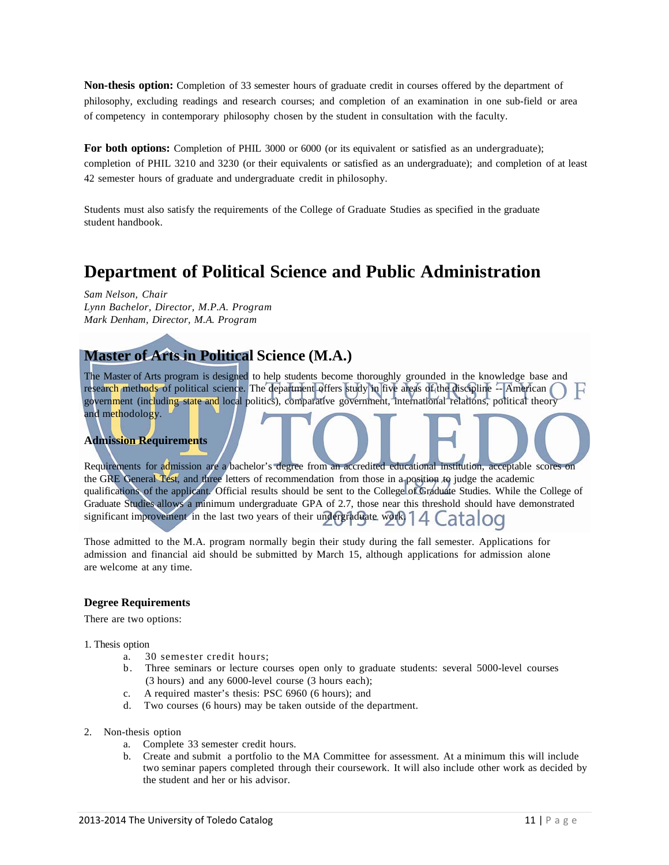**Non-thesis option:** Completion of 33 semester hours of graduate credit in courses offered by the department of philosophy, excluding readings and research courses; and completion of an examination in one sub-field or area of competency in contemporary philosophy chosen by the student in consultation with the faculty.

For both options: Completion of PHIL 3000 or 6000 (or its equivalent or satisfied as an undergraduate); completion of PHIL 3210 and 3230 (or their equivalents or satisfied as an undergraduate); and completion of at least 42 semester hours of graduate and undergraduate credit in philosophy.

Students must also satisfy the requirements of the College of Graduate Studies as specified in the graduate student handbook.

## **Department of Political Science and Public Administration**

*Sam Nelson, Chair Lynn Bachelor, Director, M.P.A. Program Mark Denham, Director, M.A. Program*

### **Master of Arts in Political Science (M.A.)**

The Master of Arts program is designed to help students become thoroughly grounded in the knowledge base and research methods of political science. The department offers study in five areas of the discipline -- American government (including state and local politics), comparative government, international relations, political theory and methodology.

### **Admission Requirements**

Requirements for admission are a bachelor's degree from an accredited educational institution, acceptable scores on the GRE General Test, and three letters of recommendation from those in a position to judge the academic qualifications of the applicant. Official results should be sent to the College of Graduate Studies. While the College of Graduate Studies allows a minimum undergraduate GPA of 2.7, those near this threshold should have demonstrated significant improvement in the last two years of their undergraduate. work  $14$  Catalog

Those admitted to the M.A. program normally begin their study during the fall semester. Applications for admission and financial aid should be submitted by March 15, although applications for admission alone are welcome at any time.

#### **Degree Requirements**

There are two options:

- 1. Thesis option
	- a. 30 semester credit hours;
	- b. Three seminars or lecture courses open only to graduate students: several 5000-level courses (3 hours) and any 6000-level course (3 hours each);
	- c. A required master's thesis: PSC 6960 (6 hours); and
	- d. Two courses (6 hours) may be taken outside of the department.
- 2. Non-thesis option
	- a. Complete 33 semester credit hours.
	- b. Create and submit a portfolio to the MA Committee for assessment. At a minimum this will include two seminar papers completed through their coursework. It will also include other work as decided by the student and her or his advisor.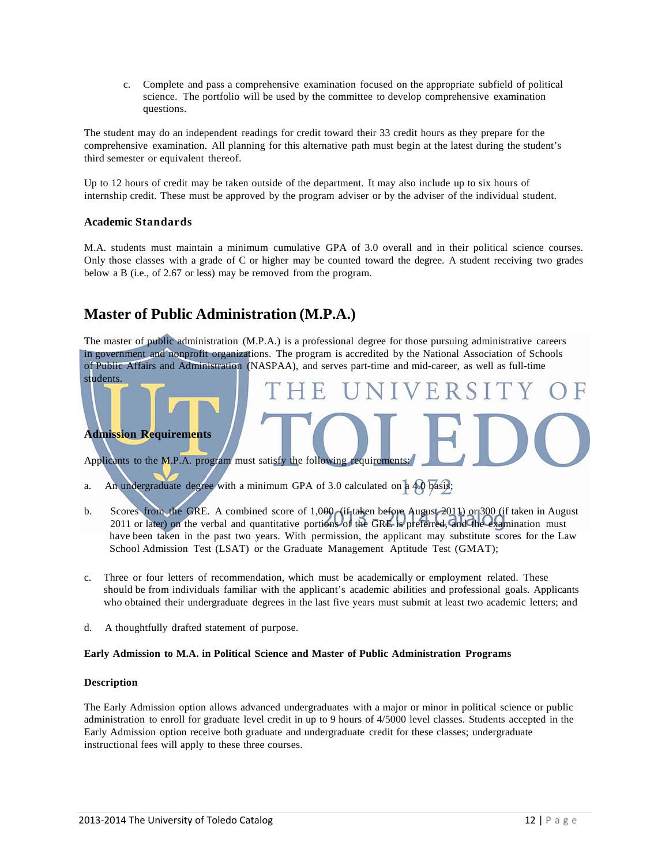c. Complete and pass a comprehensive examination focused on the appropriate subfield of political science. The portfolio will be used by the committee to develop comprehensive examination questions.

The student may do an independent readings for credit toward their 33 credit hours as they prepare for the comprehensive examination. All planning for this alternative path must begin at the latest during the student's third semester or equivalent thereof.

Up to 12 hours of credit may be taken outside of the department. It may also include up to six hours of internship credit. These must be approved by the program adviser or by the adviser of the individual student.

### **Academic Standards**

M.A. students must maintain a minimum cumulative GPA of 3.0 overall and in their political science courses. Only those classes with a grade of C or higher may be counted toward the degree. A student receiving two grades below a B (i.e., of 2.67 or less) may be removed from the program.

### **Master of Public Administration (M.P.A.)**

The master of public administration (M.P.A.) is a professional degree for those pursuing administrative careers in government and nonprofit organizations. The program is accredited by the National Association of Schools of Public Affairs and Administration (NASPAA), and serves part-time and mid-career, as well as full-time students.

ERS.

### **Admission Requirements**

Applicants to the M.P.A. program must satisfy the following requirements:

a. An undergraduate degree with a minimum GPA of 3.0 calculated on a 4.0 basis;

- b. Scores from the GRE. A combined score of 1,000 (if taken before August 2011) or 300 (if taken in August 2011 or later) on the verbal and quantitative portions of the GRE is preferred, and the examination must have been taken in the past two years. With permission, the applicant may substitute scores for the Law School Admission Test (LSAT) or the Graduate Management Aptitude Test (GMAT);
- c. Three or four letters of recommendation, which must be academically or employment related. These should be from individuals familiar with the applicant's academic abilities and professional goals. Applicants who obtained their undergraduate degrees in the last five years must submit at least two academic letters; and
- d. A thoughtfully drafted statement of purpose.

#### **Early Admission to M.A. in Political Science and Master of Public Administration Programs**

#### **Description**

The Early Admission option allows advanced undergraduates with a major or minor in political science or public administration to enroll for graduate level credit in up to 9 hours of 4/5000 level classes. Students accepted in the Early Admission option receive both graduate and undergraduate credit for these classes; undergraduate instructional fees will apply to these three courses.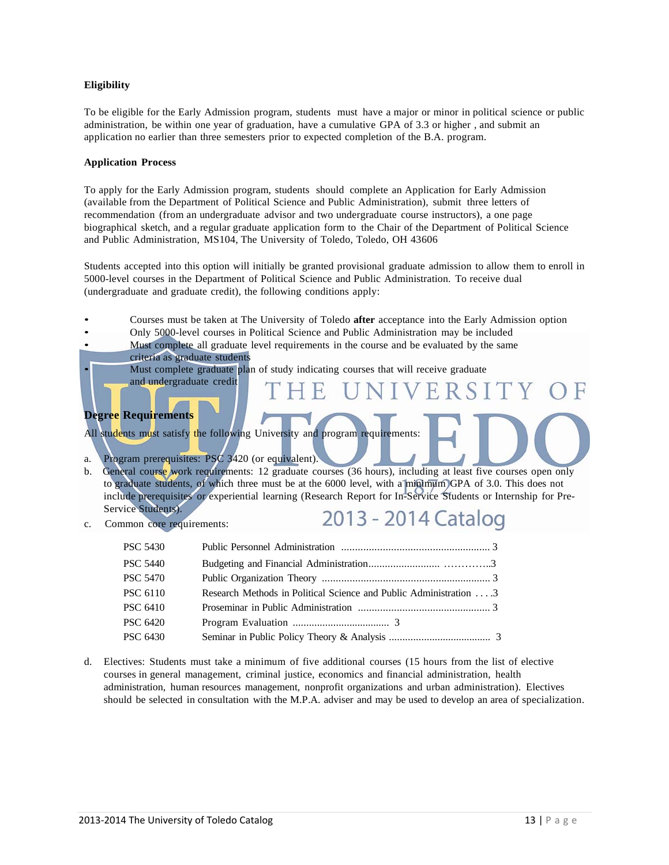### **Eligibility**

To be eligible for the Early Admission program, students must have a major or minor in political science or public administration, be within one year of graduation, have a cumulative GPA of 3.3 or higher , and submit an application no earlier than three semesters prior to expected completion of the B.A. program.

#### **Application Process**

To apply for the Early Admission program, students should complete an Application for Early Admission (available from the Department of Political Science and Public Administration), submit three letters of recommendation (from an undergraduate advisor and two undergraduate course instructors), a one page biographical sketch, and a regular graduate application form to the Chair of the Department of Political Science and Public Administration, MS104, The University of Toledo, Toledo, OH 43606

Students accepted into this option will initially be granted provisional graduate admission to allow them to enroll in 5000-level courses in the Department of Political Science and Public Administration. To receive dual (undergraduate and graduate credit), the following conditions apply:

- Courses must be taken at The University of Toledo **after** acceptance into the Early Admission option
- Only 5000-level courses in Political Science and Public Administration may be included

Must complete all graduate level requirements in the course and be evaluated by the same criteria as graduate students

Must complete graduate plan of study indicating courses that will receive graduate

### **Degree Requirements**

All students must satisfy the following University and program requirements:

a. Program prerequisites: PSC 3420 (or equivalent).

and undergraduate credit

- b. General course work requirements: 12 graduate courses (36 hours), including at least five courses open only to graduate students, of which three must be at the 6000 level, with a minimum GPA of 3.0. This does not include prerequisites or experiential learning (Research Report for In-Service Students or Internship for Pre-Service Students).
- c. Common core requirements:

## 2013 - 2014 Catalog

VERSI

| PSC 5430        |                                                                   |  |
|-----------------|-------------------------------------------------------------------|--|
| <b>PSC 5440</b> |                                                                   |  |
| PSC 5470        |                                                                   |  |
| PSC 6110        | Research Methods in Political Science and Public Administration 3 |  |
| PSC 6410        |                                                                   |  |
| PSC 6420        |                                                                   |  |
| PSC 6430        |                                                                   |  |
|                 |                                                                   |  |

d. Electives: Students must take a minimum of five additional courses (15 hours from the list of elective courses in general management, criminal justice, economics and financial administration, health administration, human resources management, nonprofit organizations and urban administration). Electives should be selected in consultation with the M.P.A. adviser and may be used to develop an area of specialization.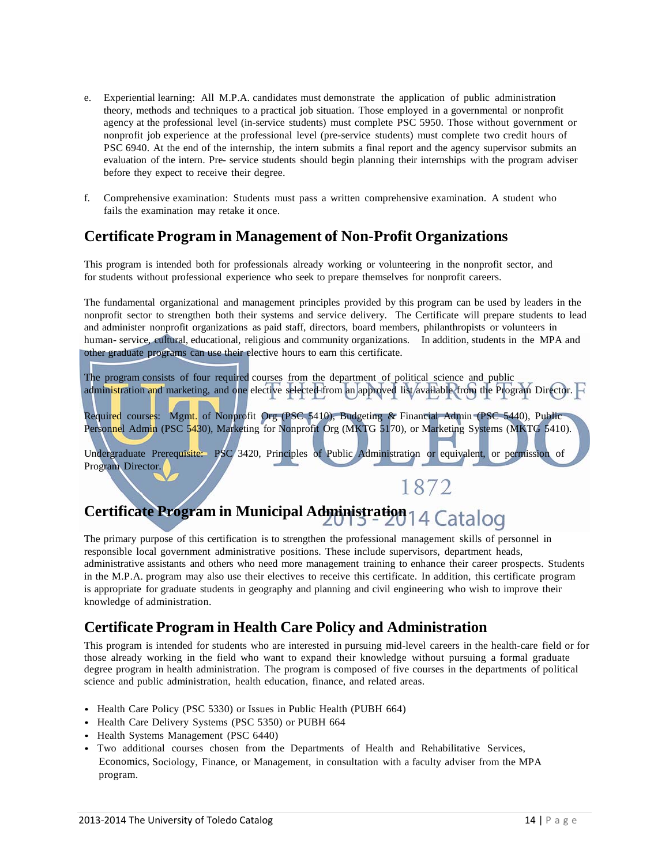- e. Experiential learning: All M.P.A. candidates must demonstrate the application of public administration theory, methods and techniques to a practical job situation. Those employed in a governmental or nonprofit agency at the professional level (in-service students) must complete PSC 5950. Those without government or nonprofit job experience at the professional level (pre-service students) must complete two credit hours of PSC 6940. At the end of the internship, the intern submits a final report and the agency supervisor submits an evaluation of the intern. Pre- service students should begin planning their internships with the program adviser before they expect to receive their degree.
- f. Comprehensive examination: Students must pass a written comprehensive examination. A student who fails the examination may retake it once.

### **Certificate Program in Management of Non-Profit Organizations**

This program is intended both for professionals already working or volunteering in the nonprofit sector, and for students without professional experience who seek to prepare themselves for nonprofit careers.

The fundamental organizational and management principles provided by this program can be used by leaders in the nonprofit sector to strengthen both their systems and service delivery. The Certificate will prepare students to lead and administer nonprofit organizations as paid staff, directors, board members, philanthropists or volunteers in human- service, cultural, educational, religious and community organizations. In addition, students in the MPA and other graduate programs can use their elective hours to earn this certificate.

The program consists of four required courses from the department of political science and public administration and marketing, and one elective selected from an approved list/available from the Program Director.

Required courses: Mgmt. of Nonprofit Org (PSC 5410), Budgeting & Financial Admin (PSC 5440), Public Personnel Admin (PSC 5430), Marketing for Nonprofit Org (MKTG 5170), or Marketing Systems (MKTG 5410).

Undergraduate Prerequisite: PSC 3420, Principles of Public Administration or equivalent, or permission of Program Director.

1872

## Certificate Program in Municipal Administration<sub>14</sub> Catalog

The primary purpose of this certification is to strengthen the professional management skills of personnel in responsible local government administrative positions. These include supervisors, department heads, administrative assistants and others who need more management training to enhance their career prospects. Students in the M.P.A. program may also use their electives to receive this certificate. In addition, this certificate program is appropriate for graduate students in geography and planning and civil engineering who wish to improve their knowledge of administration.

### **Certificate Program in Health Care Policy and Administration**

This program is intended for students who are interested in pursuing mid-level careers in the health-care field or for those already working in the field who want to expand their knowledge without pursuing a formal graduate degree program in health administration. The program is composed of five courses in the departments of political science and public administration, health education, finance, and related areas.

- Health Care Policy (PSC 5330) or Issues in Public Health (PUBH 664)
- Health Care Delivery Systems (PSC 5350) or PUBH 664
- Health Systems Management (PSC 6440)
- Two additional courses chosen from the Departments of Health and Rehabilitative Services, Economics, Sociology, Finance, or Management, in consultation with a faculty adviser from the MPA program.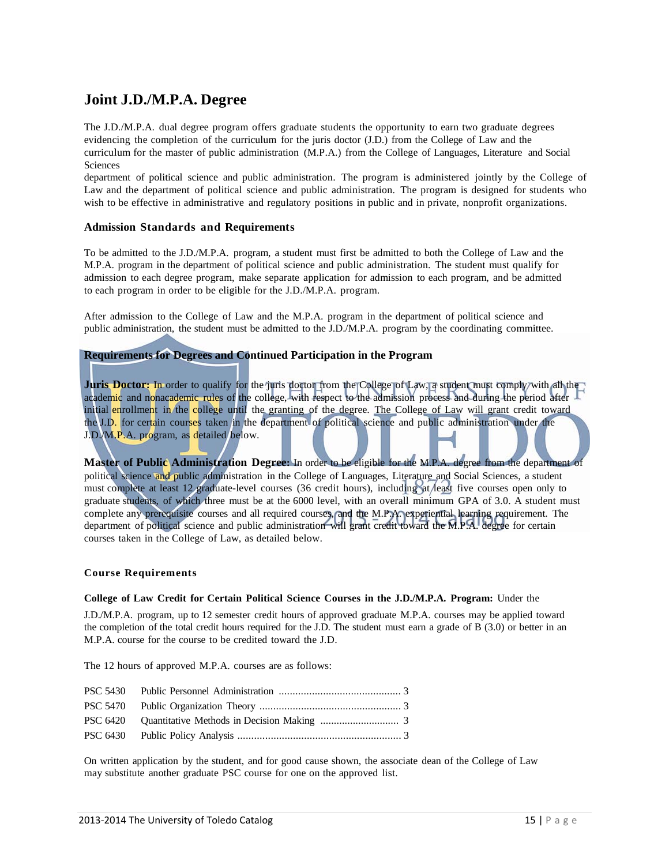### **Joint J.D./M.P.A. Degree**

The J.D./M.P.A. dual degree program offers graduate students the opportunity to earn two graduate degrees evidencing the completion of the curriculum for the juris doctor (J.D.) from the College of Law and the curriculum for the master of public administration (M.P.A.) from the College of Languages, Literature and Social **Sciences** 

department of political science and public administration. The program is administered jointly by the College of Law and the department of political science and public administration. The program is designed for students who wish to be effective in administrative and regulatory positions in public and in private, nonprofit organizations.

### **Admission Standards and Requirements**

To be admitted to the J.D./M.P.A. program, a student must first be admitted to both the College of Law and the M.P.A. program in the department of political science and public administration. The student must qualify for admission to each degree program, make separate application for admission to each program, and be admitted to each program in order to be eligible for the J.D./M.P.A. program.

After admission to the College of Law and the M.P.A. program in the department of political science and public administration, the student must be admitted to the J.D./M.P.A. program by the coordinating committee.

### **Requirements for Degrees and Continued Participation in the Program**

Juris Doctor: In order to qualify for the juris doctor from the College of Law, a student must comply with all the academic and nonacademic rules of the college, with respect to the admission process and during the period after initial enrollment in the college until the granting of the degree. The College of Law will grant credit toward the J.D. for certain courses taken in the department of political science and public administration under the J.D./M.P.A. program, as detailed below.

**Master of Public Administration Degree:** In order to be eligible for the M.P.A. degree from the department of political science and public administration in the College of Languages, Literature and Social Sciences, a student must complete at least 12 graduate-level courses (36 credit hours), including at least five courses open only to graduate students, of which three must be at the 6000 level, with an overall minimum GPA of 3.0. A student must complete any prerequisite courses and all required courses, and the M.P.A. experiential learning requirement. The department of political science and public administration will grant credit toward the M.P.A. degree for certain courses taken in the College of Law, as detailed below.

#### **Course Requirements**

#### **College of Law Credit for Certain Political Science Courses in the J.D./M.P.A. Program:** Under the

J.D./M.P.A. program, up to 12 semester credit hours of approved graduate M.P.A. courses may be applied toward the completion of the total credit hours required for the J.D. The student must earn a grade of B (3.0) or better in an M.P.A. course for the course to be credited toward the J.D.

The 12 hours of approved M.P.A. courses are as follows:

On written application by the student, and for good cause shown, the associate dean of the College of Law may substitute another graduate PSC course for one on the approved list.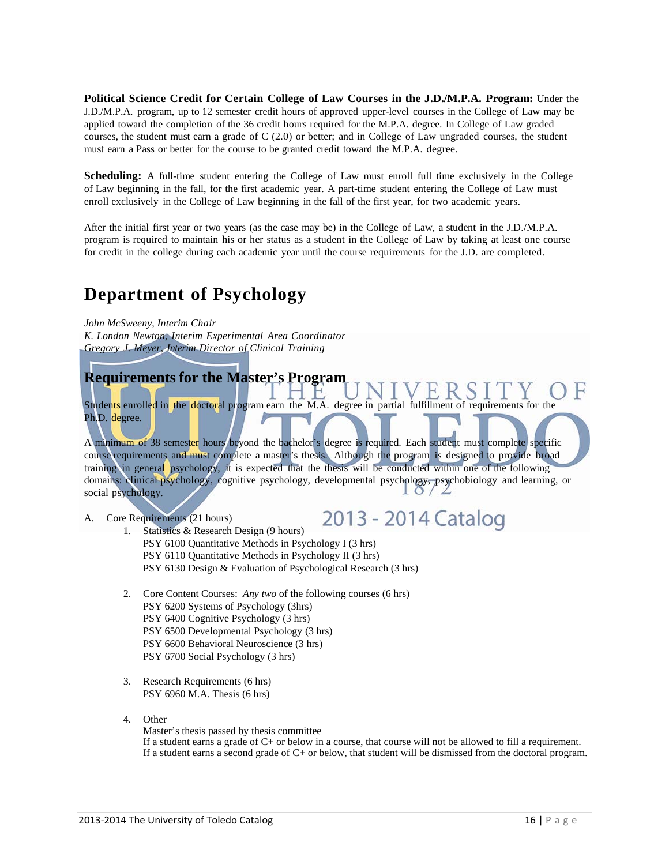**Political Science Credit for Certain College of Law Courses in the J.D./M.P.A. Program:** Under the J.D./M.P.A. program, up to 12 semester credit hours of approved upper-level courses in the College of Law may be applied toward the completion of the 36 credit hours required for the M.P.A. degree. In College of Law graded courses, the student must earn a grade of C (2.0) or better; and in College of Law ungraded courses, the student must earn a Pass or better for the course to be granted credit toward the M.P.A. degree.

**Scheduling:** A full-time student entering the College of Law must enroll full time exclusively in the College of Law beginning in the fall, for the first academic year. A part-time student entering the College of Law must enroll exclusively in the College of Law beginning in the fall of the first year, for two academic years.

After the initial first year or two years (as the case may be) in the College of Law, a student in the J.D./M.P.A. program is required to maintain his or her status as a student in the College of Law by taking at least one course for credit in the college during each academic year until the course requirements for the J.D. are completed.

## **Department of Psychology**

*K. London Newton, Interim Experimental Area Coordinator Gregory J. Meyer, Interim Director of Clinical Training*

### **Requirements for the Master's Program**

Students enrolled in the doctoral program earn the M.A. degree in partial fulfillment of requirements for the Ph.D. degree.

A minimum of 38 semester hours beyond the bachelor's degree is required. Each student must complete specific course requirements and must complete a master's thesis. Although the program is designed to provide broad training in general psychology, it is expected that the thesis will be conducted within one of the following domains: clinical psychology, cognitive psychology, developmental psychology, psychobiology and learning, or social psychology.

A. Core Requirements (21 hours)

2013 - 2014 Catalog

- 1. Statistics & Research Design (9 hours) PSY 6100 Quantitative Methods in Psychology I (3 hrs) PSY 6110 Quantitative Methods in Psychology II (3 hrs) PSY 6130 Design & Evaluation of Psychological Research (3 hrs)
- 2. Core Content Courses: *Any two* of the following courses (6 hrs) PSY 6200 Systems of Psychology (3hrs) PSY 6400 Cognitive Psychology (3 hrs) PSY 6500 Developmental Psychology (3 hrs) PSY 6600 Behavioral Neuroscience (3 hrs) PSY 6700 Social Psychology (3 hrs)
- 3. Research Requirements (6 hrs) PSY 6960 M.A. Thesis (6 hrs)
- 4. Other

Master's thesis passed by thesis committee If a student earns a grade of C+ or below in a course, that course will not be allowed to fill a requirement. If a student earns a second grade of  $C<sub>+</sub>$  or below, that student will be dismissed from the doctoral program.

*John McSweeny, Interim Chair*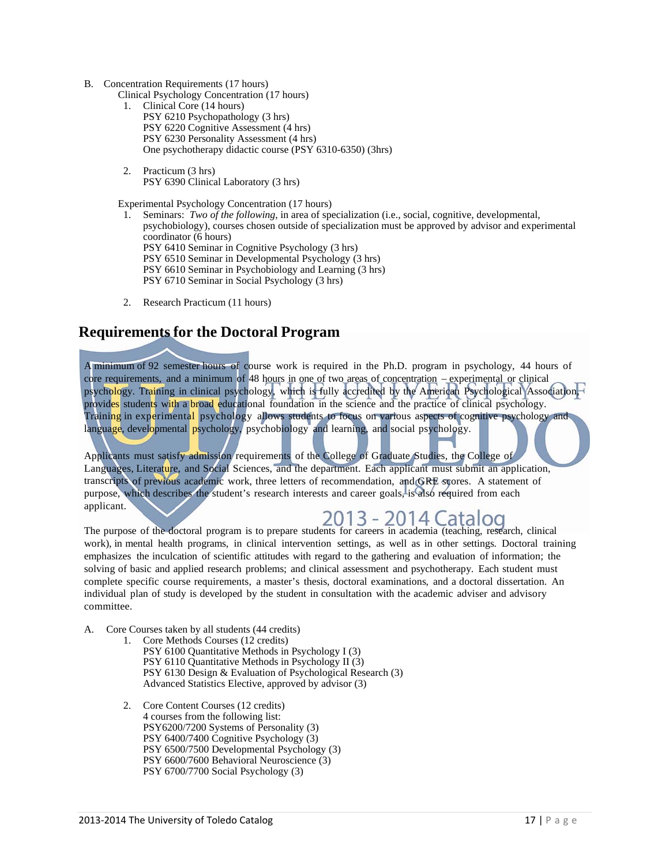- B. Concentration Requirements (17 hours)
	- Clinical Psychology Concentration (17 hours)
		- 1. Clinical Core (14 hours) PSY 6210 Psychopathology (3 hrs) PSY 6220 Cognitive Assessment (4 hrs) PSY 6230 Personality Assessment (4 hrs) One psychotherapy didactic course (PSY 6310-6350) (3hrs)
		- 2. Practicum (3 hrs) PSY 6390 Clinical Laboratory (3 hrs)

Experimental Psychology Concentration (17 hours)

- 1. Seminars: *Two of the following*, in area of specialization (i.e., social, cognitive, developmental, psychobiology), courses chosen outside of specialization must be approved by advisor and experimental coordinator (6 hours) PSY 6410 Seminar in Cognitive Psychology (3 hrs) PSY 6510 Seminar in Developmental Psychology (3 hrs) PSY 6610 Seminar in Psychobiology and Learning (3 hrs)
	-
	- PSY 6710 Seminar in Social Psychology (3 hrs)
- 2. Research Practicum (11 hours)

### **Requirements for the Doctoral Program**

A minimum of 92 semester hours of course work is required in the Ph.D. program in psychology, 44 hours of core requirements, and a minimum of 48 hours in one of two areas of concentration – experimental or clinical psychology. Training in clinical psychology, which is fully accredited by the American Psychological Association, provides students with a broad educational foundation in the science and the practice of clinical psychology. Training in experimental psychology allows students to focus on various aspects of cognitive psychology and language, developmental psychology, psychobiology and learning, and social psychology.

Applicants must satisfy admission requirements of the College of Graduate Studies, the College of Languages, Literature, and Social Sciences, and the department. Each applicant must submit an application, transcripts of previous academic work, three letters of recommendation, and GRE scores. A statement of purpose, which describes the student's research interests and career goals, is also required from each applicant.

The purpose of the doctoral program is to prepare students for careers in academia (teaching, research, clinical work), in mental health programs, in clinical intervention settings, as well as in other settings. Doctoral training emphasizes the inculcation of scientific attitudes with regard to the gathering and evaluation of information; the solving of basic and applied research problems; and clinical assessment and psychotherapy. Each student must complete specific course requirements, a master's thesis, doctoral examinations, and a doctoral dissertation. An individual plan of study is developed by the student in consultation with the academic adviser and advisory committee.

A. Core Courses taken by all students (44 credits)

- 1. Core Methods Courses (12 credits) PSY 6100 Quantitative Methods in Psychology I (3) PSY 6110 Quantitative Methods in Psychology II (3) PSY 6130 Design & Evaluation of Psychological Research (3) Advanced Statistics Elective, approved by advisor (3)
- 2. Core Content Courses (12 credits) 4 courses from the following list: PSY6200/7200 Systems of Personality (3) PSY 6400/7400 Cognitive Psychology (3) PSY 6500/7500 Developmental Psychology (3) PSY 6600/7600 Behavioral Neuroscience (3) PSY 6700/7700 Social Psychology (3)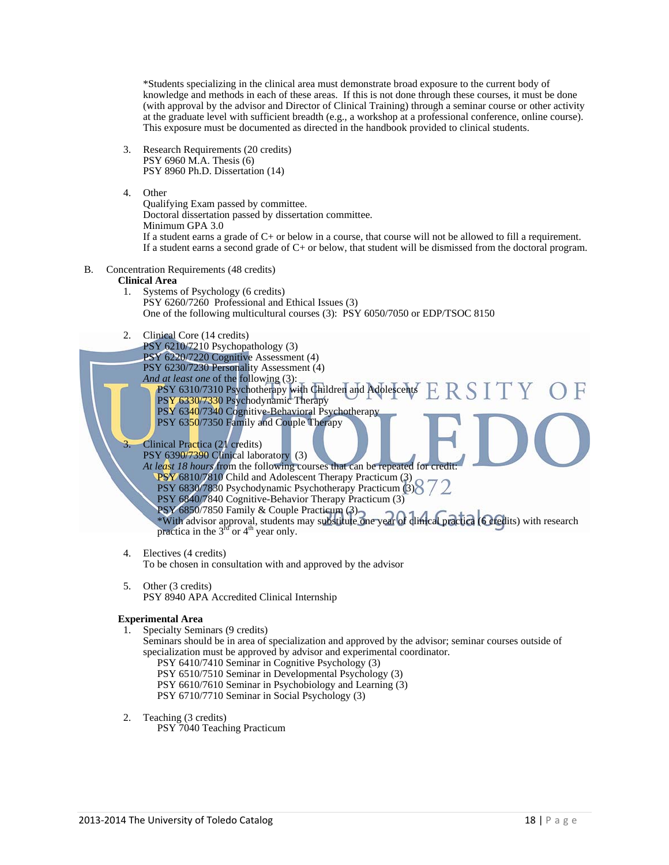\*Students specializing in the clinical area must demonstrate broad exposure to the current body of knowledge and methods in each of these areas. If this is not done through these courses, it must be done (with approval by the advisor and Director of Clinical Training) through a seminar course or other activity at the graduate level with sufficient breadth (e.g., a workshop at a professional conference, online course). This exposure must be documented as directed in the handbook provided to clinical students.

- 3. Research Requirements (20 credits) PSY 6960 M.A. Thesis (6) PSY 8960 Ph.D. Dissertation (14)
- 4. Other

Qualifying Exam passed by committee. Doctoral dissertation passed by dissertation committee. Minimum GPA 3.0 If a student earns a grade of  $C<sub>+</sub>$  or below in a course, that course will not be allowed to fill a requirement. If a student earns a second grade of C+ or below, that student will be dismissed from the doctoral program.

B. Concentration Requirements (48 credits)

### **Clinical Area**

- 1. Systems of Psychology (6 credits) PSY 6260/7260 Professional and Ethical Issues (3) One of the following multicultural courses (3): PSY 6050/7050 or EDP/TSOC 8150
- 2. Clinical Core (14 credits)

PSY 6210/7210 Psychopathology (3)

- PSY 6220/7220 Cognitive Assessment (4)
- PSY 6230/7230 Personality Assessment (4)
- *And at least one* of the following (3):
- PSY 6310/7310 Psychotherapy with Children and Adolescents **PSY 6330/7330 Psychodynamic Therapy** PSY 6340/7340 Cognitive-Behavioral Psychotherapy PSY 6350/7350 Family and Couple Therapy

### 3. Clinical Practica (21 credits)

PSY 6390/7390 Clinical laboratory (3) *At least 18 hours* from the following courses that can be repeated for credit: PSY 6810/7810 Child and Adolescent Therapy Practicum (3) PSY 6830/7830 Psychodynamic Psychotherapy Practicum (3)

- PSY 6840/7840 Cognitive-Behavior Therapy Practicum (3)
- PSY 6850/7850 Family & Couple Practicum (3)

\*With advisor approval, students may substitute one year of clinical practica (6 credits) with research practica in the  $3<sup>td</sup>$  or  $4<sup>th</sup>$  year only.

4. Electives (4 credits)

To be chosen in consultation with and approved by the advisor

5. Other (3 credits) PSY 8940 APA Accredited Clinical Internship

### **Experimental Area**

1. Specialty Seminars (9 credits)

### Seminars should be in area of specialization and approved by the advisor; seminar courses outside of specialization must be approved by advisor and experimental coordinator.

- PSY 6410/7410 Seminar in Cognitive Psychology (3)
- PSY 6510/7510 Seminar in Developmental Psychology (3)
- PSY 6610/7610 Seminar in Psychobiology and Learning (3)
- PSY 6710/7710 Seminar in Social Psychology (3)
- 2. Teaching (3 credits) PSY 7040 Teaching Practicum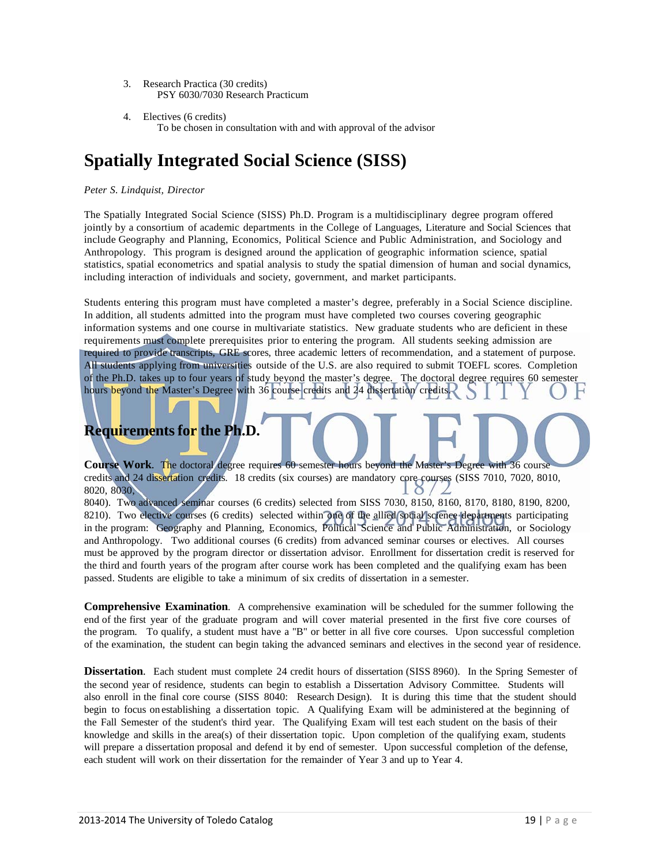- 3. Research Practica (30 credits) PSY 6030/7030 Research Practicum
- 4. Electives (6 credits) To be chosen in consultation with and with approval of the advisor

## **Spatially Integrated Social Science (SISS)**

### *Peter S. Lindquist, Director*

The Spatially Integrated Social Science (SISS) Ph.D. Program is a multidisciplinary degree program offered jointly by a consortium of academic departments in the College of Languages, Literature and Social Sciences that include Geography and Planning, Economics, Political Science and Public Administration, and Sociology and Anthropology. This program is designed around the application of geographic information science, spatial statistics, spatial econometrics and spatial analysis to study the spatial dimension of human and social dynamics, including interaction of individuals and society, government, and market participants.

Students entering this program must have completed a master's degree, preferably in a Social Science discipline. In addition, all students admitted into the program must have completed two courses covering geographic information systems and one course in multivariate statistics. New graduate students who are deficient in these requirements must complete prerequisites prior to entering the program. All students seeking admission are required to provide transcripts, GRE scores, three academic letters of recommendation, and a statement of purpose. All students applying from universities outside of the U.S. are also required to submit TOEFL scores. Completion of the Ph.D. takes up to four years of study beyond the master's degree. The doctoral degree requires 60 semester hours beyond the Master's Degree with 36 course credits and 24 dissertation credits.

## **Requirements for the Ph.D.**

**Course Work**. The doctoral degree requires 60 semester hours beyond the Master's Degree with 36 course credits and 24 dissertation credits. 18 credits (six courses) are mandatory core courses (SISS 7010, 7020, 8010, 8020, 8030,

8040). Two advanced seminar courses (6 credits) selected from SISS 7030, 8150, 8160, 8170, 8180, 8190, 8200, 8210). Two elective courses (6 credits) selected within one of the allied social science departments participating in the program: Geography and Planning, Economics, Political Science and Public Administration, or Sociology and Anthropology. Two additional courses (6 credits) from advanced seminar courses or electives. All courses must be approved by the program director or dissertation advisor. Enrollment for dissertation credit is reserved for the third and fourth years of the program after course work has been completed and the qualifying exam has been passed. Students are eligible to take a minimum of six credits of dissertation in a semester.

**Comprehensive Examination**. A comprehensive examination will be scheduled for the summer following the end of the first year of the graduate program and will cover material presented in the first five core courses of the program. To qualify, a student must have a "B" or better in all five core courses. Upon successful completion of the examination, the student can begin taking the advanced seminars and electives in the second year of residence.

**Dissertation**. Each student must complete 24 credit hours of dissertation (SISS 8960). In the Spring Semester of the second year of residence, students can begin to establish a Dissertation Advisory Committee. Students will also enroll in the final core course (SISS 8040: Research Design). It is during this time that the student should begin to focus on establishing a dissertation topic. A Qualifying Exam will be administered at the beginning of the Fall Semester of the student's third year. The Qualifying Exam will test each student on the basis of their knowledge and skills in the area(s) of their dissertation topic. Upon completion of the qualifying exam, students will prepare a dissertation proposal and defend it by end of semester. Upon successful completion of the defense, each student will work on their dissertation for the remainder of Year 3 and up to Year 4.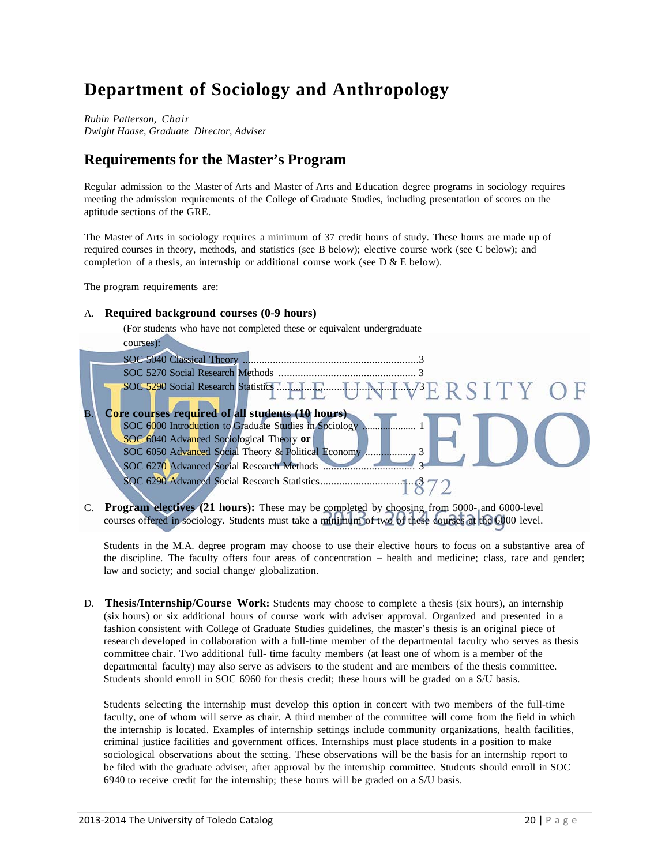## **Department of Sociology and Anthropology**

*Rubin Patterson, Chair Dwight Haase, Graduate Director, Adviser*

### **Requirements for the Master's Program**

Regular admission to the Master of Arts and Master of Arts and Education degree programs in sociology requires meeting the admission requirements of the College of Graduate Studies, including presentation of scores on the aptitude sections of the GRE.

The Master of Arts in sociology requires a minimum of 37 credit hours of study. These hours are made up of required courses in theory, methods, and statistics (see B below); elective course work (see C below); and completion of a thesis, an internship or additional course work (see D  $&E$  below).

The program requirements are:

### A. **Required background courses (0-9 hours)**

(For students who have not completed these or equivalent undergraduate

|    | courses):                                                                                                                       |
|----|---------------------------------------------------------------------------------------------------------------------------------|
|    | SOC 5040 Classical Theory                                                                                                       |
|    |                                                                                                                                 |
|    |                                                                                                                                 |
| Β. | <b>Core courses required of all students (10 hours)</b><br>SOC 6000 Introduction to Graduate Studies in Sociology Manuscription |
|    | SOC 6040 Advanced Sociological Theory or                                                                                        |
|    | SOC 6270 Advanced Social Research Methods                                                                                       |
|    |                                                                                                                                 |

C. **Program electives (21 hours):** These may be completed by choosing from 5000- and 6000-level courses offered in sociology. Students must take a minimum of two of these courses at the 6000 level.

Students in the M.A. degree program may choose to use their elective hours to focus on a substantive area of the discipline. The faculty offers four areas of concentration – health and medicine; class, race and gender; law and society; and social change/ globalization.

D. **Thesis/Internship/Course Work:** Students may choose to complete a thesis (six hours), an internship (six hours) or six additional hours of course work with adviser approval. Organized and presented in a fashion consistent with College of Graduate Studies guidelines, the master's thesis is an original piece of research developed in collaboration with a full-time member of the departmental faculty who serves as thesis committee chair. Two additional full- time faculty members (at least one of whom is a member of the departmental faculty) may also serve as advisers to the student and are members of the thesis committee. Students should enroll in SOC 6960 for thesis credit; these hours will be graded on a S/U basis.

Students selecting the internship must develop this option in concert with two members of the full-time faculty, one of whom will serve as chair. A third member of the committee will come from the field in which the internship is located. Examples of internship settings include community organizations, health facilities, criminal justice facilities and government offices. Internships must place students in a position to make sociological observations about the setting. These observations will be the basis for an internship report to be filed with the graduate adviser, after approval by the internship committee. Students should enroll in SOC 6940 to receive credit for the internship; these hours will be graded on a S/U basis.